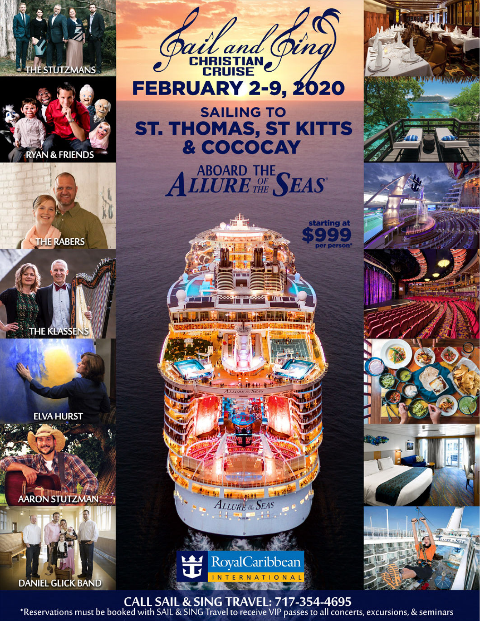







**ELVA HURST** 

AARON STUTZMAN:





**FEBRUARY 2-9, 2020** 

## **SAILING TO ST. THOMAS, ST KITTS** & COCOCAY

ABOARD THE SEAS



**ALLURE RESEAS** 

**RoyalCaribbean INTERNATIONAL** 





CALL SAIL & SING TRAVEL: 717-354-4695<br>Reservations must be booked with SAIL & SING Travel to receive VIP passes to all concerts, excursions, & seminars